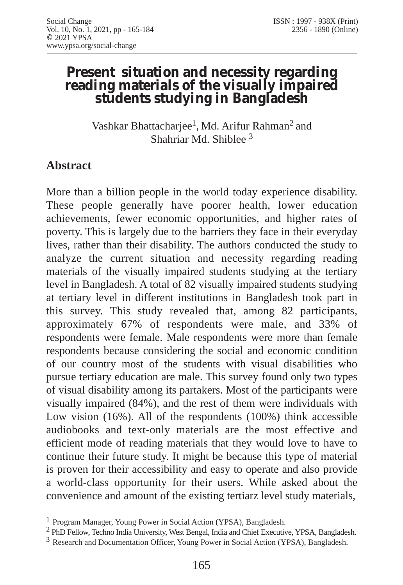# **Present situation and necessity regarding reading materials of the visually impaired students studying in Bangladesh**

Vashkar Bhattacharjee<sup>1</sup>, Md. Arifur Rahman<sup>2</sup> and Shahriar Md. Shiblee <sup>3</sup>

### **Abstract**

More than a billion people in the world today experience disability. These people generally have poorer health, lower education achievements, fewer economic opportunities, and higher rates of poverty. This is largely due to the barriers they face in their everyday lives, rather than their disability. The authors conducted the study to analyze the current situation and necessity regarding reading materials of the visually impaired students studying at the tertiary level in Bangladesh. A total of 82 visually impaired students studying at tertiary level in different institutions in Bangladesh took part in this survey. This study revealed that, among 82 participants, approximately 67% of respondents were male, and 33% of respondents were female. Male respondents were more than female respondents because considering the social and economic condition of our country most of the students with visual disabilities who pursue tertiary education are male. This survey found only two types of visual disability among its partakers. Most of the participants were visually impaired (84%), and the rest of them were individuals with Low vision (16%). All of the respondents (100%) think accessible audiobooks and text-only materials are the most effective and efficient mode of reading materials that they would love to have to continue their future study. It might be because this type of material is proven for their accessibility and easy to operate and also provide a world-class opportunity for their users. While asked about the convenience and amount of the existing tertiarz level study materials,

<sup>&</sup>lt;sup>1</sup> Program Manager, Young Power in Social Action (YPSA), Bangladesh.<br>
<sup>2</sup> PhD Fellow, Techno India University, West Bengal, India and Chief Executive, YPSA, Bangladesh.<br>
<sup>3</sup> Research and Documentation Officer, Young Powe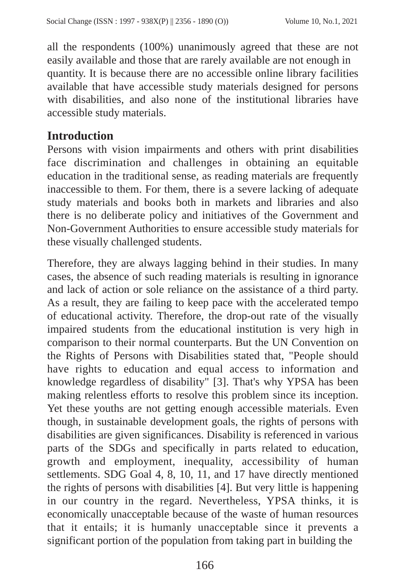all the respondents (100%) unanimously agreed that these are not easily available and those that are rarely available are not enough in quantity. It is because there are no accessible online library facilities available that have accessible study materials designed for persons with disabilities, and also none of the institutional libraries have accessible study materials.

### **Introduction**

Persons with vision impairments and others with print disabilities face discrimination and challenges in obtaining an equitable education in the traditional sense, as reading materials are frequently inaccessible to them. For them, there is a severe lacking of adequate study materials and books both in markets and libraries and also there is no deliberate policy and initiatives of the Government and Non-Government Authorities to ensure accessible study materials for these visually challenged students.

Therefore, they are always lagging behind in their studies. In many cases, the absence of such reading materials is resulting in ignorance and lack of action or sole reliance on the assistance of a third party. As a result, they are failing to keep pace with the accelerated tempo of educational activity. Therefore, the drop-out rate of the visually impaired students from the educational institution is very high in comparison to their normal counterparts. But the UN Convention on the Rights of Persons with Disabilities stated that, "People should have rights to education and equal access to information and knowledge regardless of disability" [3]. That's why YPSA has been making relentless efforts to resolve this problem since its inception. Yet these youths are not getting enough accessible materials. Even though, in sustainable development goals, the rights of persons with disabilities are given significances. Disability is referenced in various parts of the SDGs and specifically in parts related to education, growth and employment, inequality, accessibility of human settlements. SDG Goal 4, 8, 10, 11, and 17 have directly mentioned the rights of persons with disabilities [4]. But very little is happening in our country in the regard. Nevertheless, YPSA thinks, it is economically unacceptable because of the waste of human resources that it entails; it is humanly unacceptable since it prevents a significant portion of the population from taking part in building the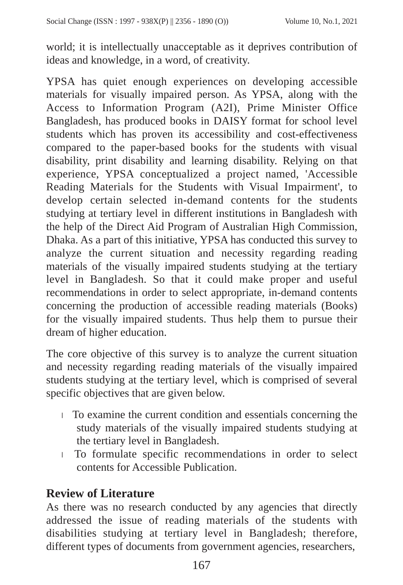world; it is intellectually unacceptable as it deprives contribution of ideas and knowledge, in a word, of creativity.

YPSA has quiet enough experiences on developing accessible materials for visually impaired person. As YPSA, along with the Access to Information Program (A2I), Prime Minister Office Bangladesh, has produced books in DAISY format for school level students which has proven its accessibility and cost-effectiveness compared to the paper-based books for the students with visual disability, print disability and learning disability. Relying on that experience, YPSA conceptualized a project named, 'Accessible Reading Materials for the Students with Visual Impairment', to develop certain selected in-demand contents for the students studying at tertiary level in different institutions in Bangladesh with the help of the Direct Aid Program of Australian High Commission, Dhaka. As a part of this initiative, YPSA has conducted this survey to analyze the current situation and necessity regarding reading materials of the visually impaired students studying at the tertiary level in Bangladesh. So that it could make proper and useful recommendations in order to select appropriate, in-demand contents concerning the production of accessible reading materials (Books) for the visually impaired students. Thus help them to pursue their dream of higher education.

The core objective of this survey is to analyze the current situation and necessity regarding reading materials of the visually impaired students studying at the tertiary level, which is comprised of several specific objectives that are given below.

- <sup>l</sup> To examine the current condition and essentials concerning the study materials of the visually impaired students studying at the tertiary level in Bangladesh.
- <sup>l</sup> To formulate specific recommendations in order to select contents for Accessible Publication.

## **Review of Literature**

As there was no research conducted by any agencies that directly addressed the issue of reading materials of the students with disabilities studying at tertiary level in Bangladesh; therefore, different types of documents from government agencies, researchers,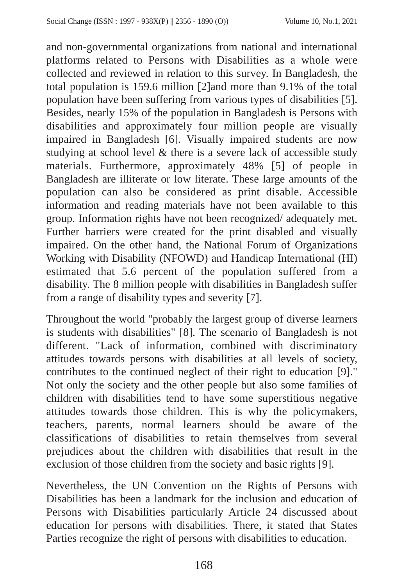and non-governmental organizations from national and international platforms related to Persons with Disabilities as a whole were collected and reviewed in relation to this survey. In Bangladesh, the total population is 159.6 million [2]and more than 9.1% of the total population have been suffering from various types of disabilities [5]. Besides, nearly 15% of the population in Bangladesh is Persons with disabilities and approximately four million people are visually impaired in Bangladesh [6]. Visually impaired students are now studying at school level  $\&$  there is a severe lack of accessible study materials. Furthermore, approximately 48% [5] of people in Bangladesh are illiterate or low literate. These large amounts of the population can also be considered as print disable. Accessible information and reading materials have not been available to this group. Information rights have not been recognized/ adequately met. Further barriers were created for the print disabled and visually impaired. On the other hand, the National Forum of Organizations Working with Disability (NFOWD) and Handicap International (HI) estimated that 5.6 percent of the population suffered from a disability. The 8 million people with disabilities in Bangladesh suffer from a range of disability types and severity [7].

Throughout the world "probably the largest group of diverse learners is students with disabilities" [8]. The scenario of Bangladesh is not different. "Lack of information, combined with discriminatory attitudes towards persons with disabilities at all levels of society, contributes to the continued neglect of their right to education [9]." Not only the society and the other people but also some families of children with disabilities tend to have some superstitious negative attitudes towards those children. This is why the policymakers, teachers, parents, normal learners should be aware of the classifications of disabilities to retain themselves from several prejudices about the children with disabilities that result in the exclusion of those children from the society and basic rights [9].

Nevertheless, the UN Convention on the Rights of Persons with Disabilities has been a landmark for the inclusion and education of Persons with Disabilities particularly Article 24 discussed about education for persons with disabilities. There, it stated that States Parties recognize the right of persons with disabilities to education.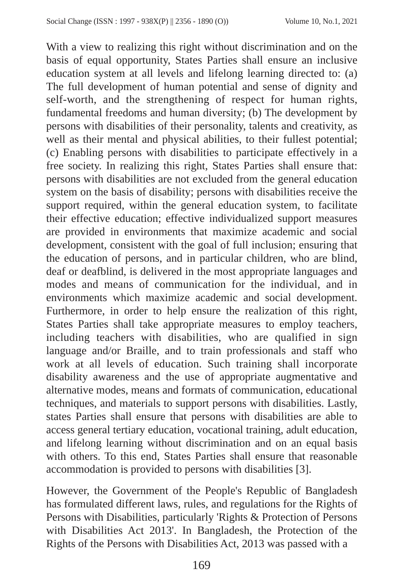With a view to realizing this right without discrimination and on the basis of equal opportunity, States Parties shall ensure an inclusive education system at all levels and lifelong learning directed to: (a) The full development of human potential and sense of dignity and self-worth, and the strengthening of respect for human rights, fundamental freedoms and human diversity; (b) The development by persons with disabilities of their personality, talents and creativity, as well as their mental and physical abilities, to their fullest potential; (c) Enabling persons with disabilities to participate effectively in a free society. In realizing this right, States Parties shall ensure that: persons with disabilities are not excluded from the general education system on the basis of disability; persons with disabilities receive the support required, within the general education system, to facilitate their effective education; effective individualized support measures are provided in environments that maximize academic and social development, consistent with the goal of full inclusion; ensuring that the education of persons, and in particular children, who are blind, deaf or deafblind, is delivered in the most appropriate languages and modes and means of communication for the individual, and in environments which maximize academic and social development. Furthermore, in order to help ensure the realization of this right, States Parties shall take appropriate measures to employ teachers, including teachers with disabilities, who are qualified in sign language and/or Braille, and to train professionals and staff who work at all levels of education. Such training shall incorporate disability awareness and the use of appropriate augmentative and alternative modes, means and formats of communication, educational techniques, and materials to support persons with disabilities. Lastly, states Parties shall ensure that persons with disabilities are able to access general tertiary education, vocational training, adult education, and lifelong learning without discrimination and on an equal basis with others. To this end, States Parties shall ensure that reasonable accommodation is provided to persons with disabilities [3].

However, the Government of the People's Republic of Bangladesh has formulated different laws, rules, and regulations for the Rights of Persons with Disabilities, particularly 'Rights & Protection of Persons with Disabilities Act 2013'. In Bangladesh, the Protection of the Rights of the Persons with Disabilities Act, 2013 was passed with a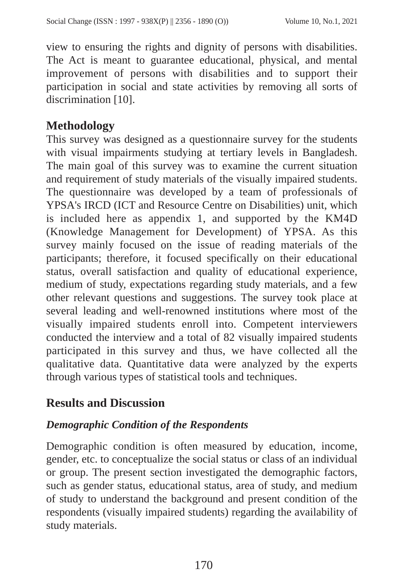view to ensuring the rights and dignity of persons with disabilities. The Act is meant to guarantee educational, physical, and mental improvement of persons with disabilities and to support their participation in social and state activities by removing all sorts of discrimination [10].

## **Methodology**

This survey was designed as a questionnaire survey for the students with visual impairments studying at tertiary levels in Bangladesh. The main goal of this survey was to examine the current situation and requirement of study materials of the visually impaired students. The questionnaire was developed by a team of professionals of YPSA's IRCD (ICT and Resource Centre on Disabilities) unit, which is included here as appendix 1, and supported by the KM4D (Knowledge Management for Development) of YPSA. As this survey mainly focused on the issue of reading materials of the participants; therefore, it focused specifically on their educational status, overall satisfaction and quality of educational experience, medium of study, expectations regarding study materials, and a few other relevant questions and suggestions. The survey took place at several leading and well-renowned institutions where most of the visually impaired students enroll into. Competent interviewers conducted the interview and a total of 82 visually impaired students participated in this survey and thus, we have collected all the qualitative data. Quantitative data were analyzed by the experts through various types of statistical tools and techniques.

## **Results and Discussion**

### *Demographic Condition of the Respondents*

Demographic condition is often measured by education, income, gender, etc. to conceptualize the social status or class of an individual or group. The present section investigated the demographic factors, such as gender status, educational status, area of study, and medium of study to understand the background and present condition of the respondents (visually impaired students) regarding the availability of study materials.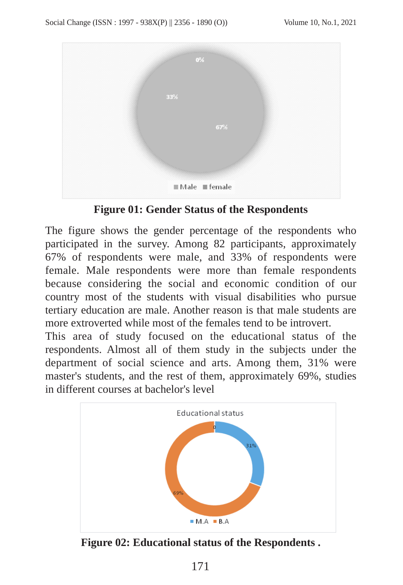

**Figure 01: Gender Status of the Respondents**

The figure shows the gender percentage of the respondents who participated in the survey. Among 82 participants, approximately 67% of respondents were male, and 33% of respondents were female. Male respondents were more than female respondents because considering the social and economic condition of our country most of the students with visual disabilities who pursue tertiary education are male. Another reason is that male students are more extroverted while most of the females tend to be introvert.

This area of study focused on the educational status of the respondents. Almost all of them study in the subjects under the department of social science and arts. Among them, 31% were master's students, and the rest of them, approximately 69%, studies in different courses at bachelor's level



**Figure 02: Educational status of the Respondents .**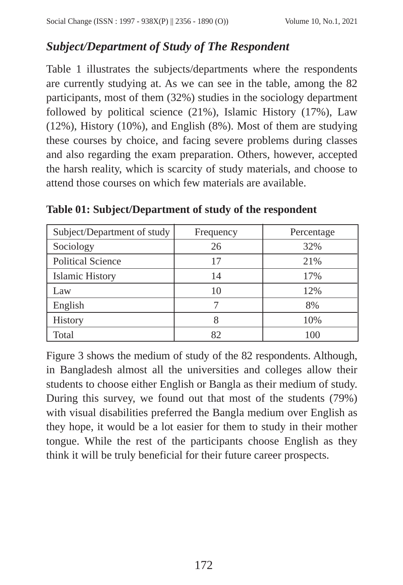# *Subject/Department of Study of The Respondent*

Table 1 illustrates the subjects/departments where the respondents are currently studying at. As we can see in the table, among the 82 participants, most of them (32%) studies in the sociology department followed by political science (21%), Islamic History (17%), Law (12%), History (10%), and English (8%). Most of them are studying these courses by choice, and facing severe problems during classes and also regarding the exam preparation. Others, however, accepted the harsh reality, which is scarcity of study materials, and choose to attend those courses on which few materials are available.

| Subject/Department of study | Frequency | Percentage |
|-----------------------------|-----------|------------|
| Sociology                   | 26        | 32%        |
| <b>Political Science</b>    | 17        | 21%        |
| Islamic History             | 14        | 17%        |
| Law                         | 10        | 12%        |
| English                     |           | 8%         |
| History                     |           | 10%        |
| Total                       | 82        | 100        |

**Table 01: Subject/Department of study of the respondent**

Figure 3 shows the medium of study of the 82 respondents. Although, in Bangladesh almost all the universities and colleges allow their students to choose either English or Bangla as their medium of study. During this survey, we found out that most of the students (79%) with visual disabilities preferred the Bangla medium over English as they hope, it would be a lot easier for them to study in their mother tongue. While the rest of the participants choose English as they think it will be truly beneficial for their future career prospects.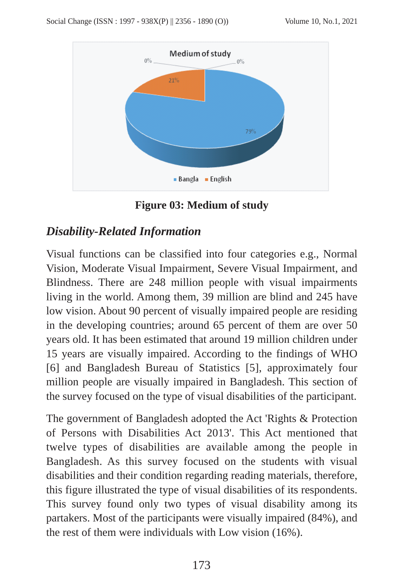

**Figure 03: Medium of study**

## *Disability-Related Information*

Visual functions can be classified into four categories e.g., Normal Vision, Moderate Visual Impairment, Severe Visual Impairment, and Blindness. There are 248 million people with visual impairments living in the world. Among them, 39 million are blind and 245 have low vision. About 90 percent of visually impaired people are residing in the developing countries; around 65 percent of them are over 50 years old. It has been estimated that around 19 million children under 15 years are visually impaired. According to the findings of WHO [6] and Bangladesh Bureau of Statistics [5], approximately four million people are visually impaired in Bangladesh. This section of the survey focused on the type of visual disabilities of the participant.

The government of Bangladesh adopted the Act 'Rights & Protection of Persons with Disabilities Act 2013'. This Act mentioned that twelve types of disabilities are available among the people in Bangladesh. As this survey focused on the students with visual disabilities and their condition regarding reading materials, therefore, this figure illustrated the type of visual disabilities of its respondents. This survey found only two types of visual disability among its partakers. Most of the participants were visually impaired (84%), and the rest of them were individuals with Low vision (16%).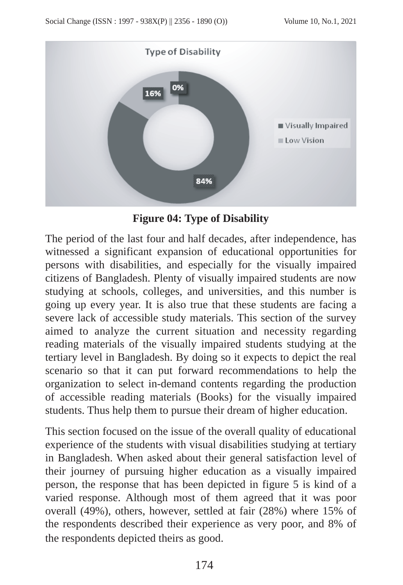

**Figure 04: Type of Disability**

The period of the last four and half decades, after independence, has witnessed a significant expansion of educational opportunities for persons with disabilities, and especially for the visually impaired citizens of Bangladesh. Plenty of visually impaired students are now studying at schools, colleges, and universities, and this number is going up every year. It is also true that these students are facing a severe lack of accessible study materials. This section of the survey aimed to analyze the current situation and necessity regarding reading materials of the visually impaired students studying at the tertiary level in Bangladesh. By doing so it expects to depict the real scenario so that it can put forward recommendations to help the organization to select in-demand contents regarding the production of accessible reading materials (Books) for the visually impaired students. Thus help them to pursue their dream of higher education.

This section focused on the issue of the overall quality of educational experience of the students with visual disabilities studying at tertiary in Bangladesh. When asked about their general satisfaction level of their journey of pursuing higher education as a visually impaired person, the response that has been depicted in figure 5 is kind of a varied response. Although most of them agreed that it was poor overall (49%), others, however, settled at fair (28%) where 15% of the respondents described their experience as very poor, and 8% of the respondents depicted theirs as good.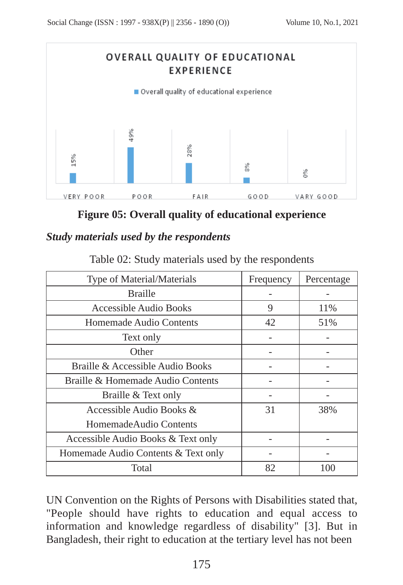

### **Figure 05: Overall quality of educational experience**

#### *Study materials used by the respondents*

| Type of Material/Materials          | Frequency | Percentage |
|-------------------------------------|-----------|------------|
| <b>Braille</b>                      |           |            |
| Accessible Audio Books              | 9         | 11%        |
| Homemade Audio Contents             | 42        | 51%        |
| Text only                           |           |            |
| Other                               |           |            |
| Braille & Accessible Audio Books    |           |            |
| Braille & Homemade Audio Contents   |           |            |
| Braille & Text only                 |           |            |
| Accessible Audio Books $\&$         | 31        | 38%        |
| HomemadeAudio Contents              |           |            |
| Accessible Audio Books & Text only  |           |            |
| Homemade Audio Contents & Text only |           |            |
| Total                               | 82        | 100        |

#### Table 02: Study materials used by the respondents

UN Convention on the Rights of Persons with Disabilities stated that, "People should have rights to education and equal access to information and knowledge regardless of disability" [3]. But in Bangladesh, their right to education at the tertiary level has not been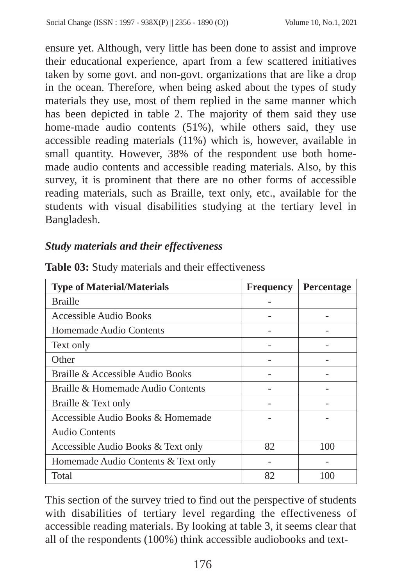ensure yet. Although, very little has been done to assist and improve their educational experience, apart from a few scattered initiatives taken by some govt. and non-govt. organizations that are like a drop in the ocean. Therefore, when being asked about the types of study materials they use, most of them replied in the same manner which has been depicted in table 2. The majority of them said they use home-made audio contents (51%), while others said, they use accessible reading materials (11%) which is, however, available in small quantity. However, 38% of the respondent use both homemade audio contents and accessible reading materials. Also, by this survey, it is prominent that there are no other forms of accessible reading materials, such as Braille, text only, etc., available for the students with visual disabilities studying at the tertiary level in Bangladesh.

### *Study materials and their effectiveness*

| <b>Type of Material/Materials</b>   | <b>Frequency</b> | <b>Percentage</b> |
|-------------------------------------|------------------|-------------------|
| <b>Braille</b>                      |                  |                   |
| Accessible Audio Books              |                  |                   |
| Homemade Audio Contents             |                  |                   |
| Text only                           |                  |                   |
| Other                               |                  |                   |
| Braille & Accessible Audio Books    |                  |                   |
| Braille & Homemade Audio Contents   |                  |                   |
| Braille & Text only                 |                  |                   |
| Accessible Audio Books & Homemade   |                  |                   |
| <b>Audio Contents</b>               |                  |                   |
| Accessible Audio Books & Text only  | 82               | 100               |
| Homemade Audio Contents & Text only |                  |                   |
| Total                               | 82               | 100               |

**Table 03:** Study materials and their effectiveness

This section of the survey tried to find out the perspective of students with disabilities of tertiary level regarding the effectiveness of accessible reading materials. By looking at table 3, it seems clear that all of the respondents (100%) think accessible audiobooks and text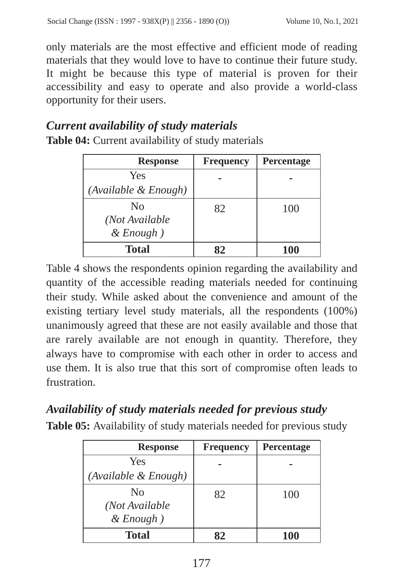only materials are the most effective and efficient mode of reading materials that they would love to have to continue their future study. It might be because this type of material is proven for their accessibility and easy to operate and also provide a world-class opportunity for their users.

### *Current availability of study materials*

**Table 04:** Current availability of study materials

| <b>Response</b>      | <b>Frequency</b> | Percentage |
|----------------------|------------------|------------|
| Yes                  |                  |            |
| (Available & Enough) |                  |            |
| N <sub>0</sub>       | 82               | 100        |
| (Not Available       |                  |            |
| $& \text{Enough}$ )  |                  |            |
| <b>Total</b>         | ヾ                | 100        |

Table 4 shows the respondents opinion regarding the availability and quantity of the accessible reading materials needed for continuing their study. While asked about the convenience and amount of the existing tertiary level study materials, all the respondents (100%) unanimously agreed that these are not easily available and those that are rarely available are not enough in quantity. Therefore, they always have to compromise with each other in order to access and use them. It is also true that this sort of compromise often leads to frustration.

*Availability of study materials needed for previous study*

**Table 05:** Availability of study materials needed for previous study

| <b>Response</b>      | <b>Frequency</b> | <b>Percentage</b> |
|----------------------|------------------|-------------------|
| Yes                  |                  |                   |
| (Available & Enough) |                  |                   |
| N <sub>0</sub>       | 82               | 100               |
| (Not Available       |                  |                   |
| $&$ Enough $)$       |                  |                   |
| Total                | いつ               | 100               |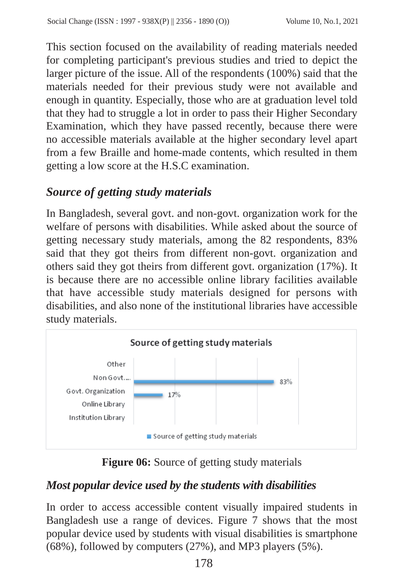This section focused on the availability of reading materials needed for completing participant's previous studies and tried to depict the larger picture of the issue. All of the respondents (100%) said that the materials needed for their previous study were not available and enough in quantity. Especially, those who are at graduation level told that they had to struggle a lot in order to pass their Higher Secondary Examination, which they have passed recently, because there were no accessible materials available at the higher secondary level apart from a few Braille and home-made contents, which resulted in them getting a low score at the H.S.C examination.

# *Source of getting study materials*

In Bangladesh, several govt. and non-govt. organization work for the welfare of persons with disabilities. While asked about the source of getting necessary study materials, among the 82 respondents, 83% said that they got theirs from different non-govt. organization and others said they got theirs from different govt. organization (17%). It is because there are no accessible online library facilities available that have accessible study materials designed for persons with disabilities, and also none of the institutional libraries have accessible study materials.



**Figure 06:** Source of getting study materials

# *Most popular device used by the students with disabilities*

In order to access accessible content visually impaired students in Bangladesh use a range of devices. Figure 7 shows that the most popular device used by students with visual disabilities is smartphone (68%), followed by computers (27%), and MP3 players (5%).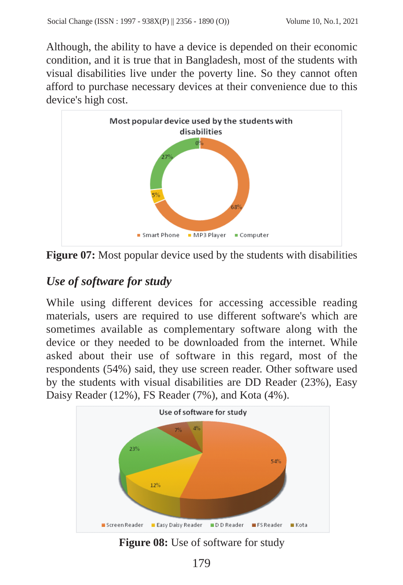Although, the ability to have a device is depended on their economic condition, and it is true that in Bangladesh, most of the students with visual disabilities live under the poverty line. So they cannot often afford to purchase necessary devices at their convenience due to this device's high cost.



**Figure 07:** Most popular device used by the students with disabilities

# *Use of software for study*

While using different devices for accessing accessible reading materials, users are required to use different software's which are sometimes available as complementary software along with the device or they needed to be downloaded from the internet. While asked about their use of software in this regard, most of the respondents (54%) said, they use screen reader. Other software used by the students with visual disabilities are DD Reader (23%), Easy Daisy Reader (12%), FS Reader (7%), and Kota (4%).



**Figure 08:** Use of software for study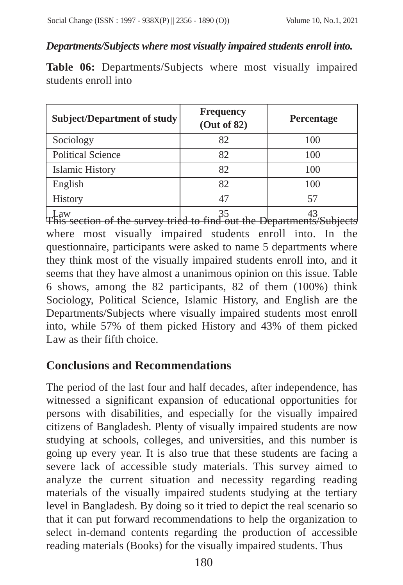### *Departments/Subjects where most visually impaired students enroll into.*

**Table 06:** Departments/Subjects where most visually impaired students enroll into

| Subject/Department of study | Frequency<br>(Out of 82) | <b>Percentage</b> |
|-----------------------------|--------------------------|-------------------|
| Sociology                   | 82                       | 100               |
| <b>Political Science</b>    | 82                       | 100               |
| <b>Islamic History</b>      | 82                       | 100               |
| English                     | 82                       | 100               |
| History                     | 47                       | 57                |
|                             |                          |                   |

This section of the survey tried to find out the Departments/Subjects Law 35 43 where most visually impaired students enroll into. In the questionnaire, participants were asked to name 5 departments where they think most of the visually impaired students enroll into, and it seems that they have almost a unanimous opinion on this issue. Table 6 shows, among the 82 participants, 82 of them (100%) think Sociology, Political Science, Islamic History, and English are the Departments/Subjects where visually impaired students most enroll into, while 57% of them picked History and 43% of them picked Law as their fifth choice.

## **Conclusions and Recommendations**

The period of the last four and half decades, after independence, has witnessed a significant expansion of educational opportunities for persons with disabilities, and especially for the visually impaired citizens of Bangladesh. Plenty of visually impaired students are now studying at schools, colleges, and universities, and this number is going up every year. It is also true that these students are facing a severe lack of accessible study materials. This survey aimed to analyze the current situation and necessity regarding reading materials of the visually impaired students studying at the tertiary level in Bangladesh. By doing so it tried to depict the real scenario so that it can put forward recommendations to help the organization to select in-demand contents regarding the production of accessible reading materials (Books) for the visually impaired students. Thus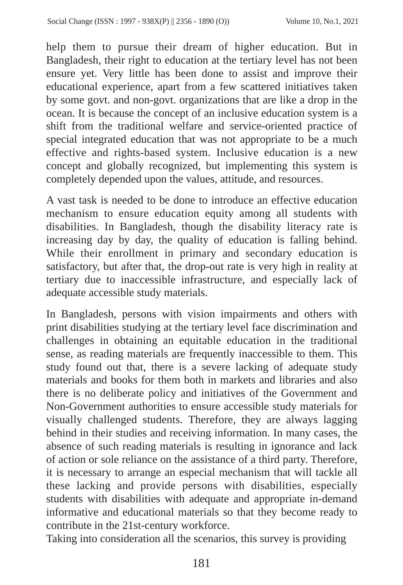help them to pursue their dream of higher education. But in Bangladesh, their right to education at the tertiary level has not been ensure yet. Very little has been done to assist and improve their educational experience, apart from a few scattered initiatives taken by some govt. and non-govt. organizations that are like a drop in the ocean. It is because the concept of an inclusive education system is a shift from the traditional welfare and service-oriented practice of special integrated education that was not appropriate to be a much effective and rights-based system. Inclusive education is a new concept and globally recognized, but implementing this system is completely depended upon the values, attitude, and resources.

A vast task is needed to be done to introduce an effective education mechanism to ensure education equity among all students with disabilities. In Bangladesh, though the disability literacy rate is increasing day by day, the quality of education is falling behind. While their enrollment in primary and secondary education is satisfactory, but after that, the drop-out rate is very high in reality at tertiary due to inaccessible infrastructure, and especially lack of adequate accessible study materials.

In Bangladesh, persons with vision impairments and others with print disabilities studying at the tertiary level face discrimination and challenges in obtaining an equitable education in the traditional sense, as reading materials are frequently inaccessible to them. This study found out that, there is a severe lacking of adequate study materials and books for them both in markets and libraries and also there is no deliberate policy and initiatives of the Government and Non-Government authorities to ensure accessible study materials for visually challenged students. Therefore, they are always lagging behind in their studies and receiving information. In many cases, the absence of such reading materials is resulting in ignorance and lack of action or sole reliance on the assistance of a third party. Therefore, it is necessary to arrange an especial mechanism that will tackle all these lacking and provide persons with disabilities, especially students with disabilities with adequate and appropriate in-demand informative and educational materials so that they become ready to contribute in the 21st-century workforce.

Taking into consideration all the scenarios, this survey is providing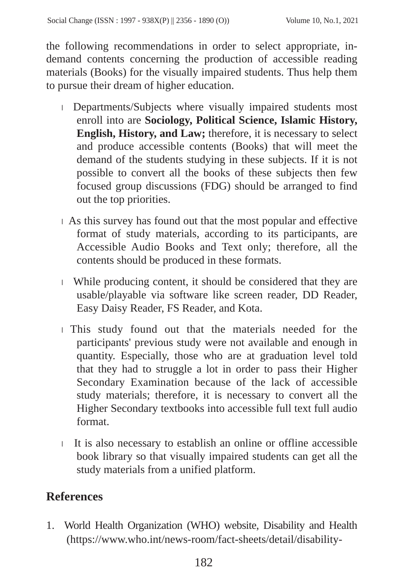the following recommendations in order to select appropriate, indemand contents concerning the production of accessible reading materials (Books) for the visually impaired students. Thus help them to pursue their dream of higher education.

- <sup>l</sup> Departments/Subjects where visually impaired students most enroll into are **Sociology, Political Science, Islamic History, English, History, and Law;** therefore, it is necessary to select and produce accessible contents (Books) that will meet the demand of the students studying in these subjects. If it is not possible to convert all the books of these subjects then few focused group discussions (FDG) should be arranged to find out the top priorities.
- <sup>l</sup> As this survey has found out that the most popular and effective format of study materials, according to its participants, are Accessible Audio Books and Text only; therefore, all the contents should be produced in these formats.
- <sup>l</sup> While producing content, it should be considered that they are usable/playable via software like screen reader, DD Reader, Easy Daisy Reader, FS Reader, and Kota.
- <sup>l</sup> This study found out that the materials needed for the participants' previous study were not available and enough in quantity. Especially, those who are at graduation level told that they had to struggle a lot in order to pass their Higher Secondary Examination because of the lack of accessible study materials; therefore, it is necessary to convert all the Higher Secondary textbooks into accessible full text full audio format.
- <sup>l</sup> It is also necessary to establish an online or offline accessible book library so that visually impaired students can get all the study materials from a unified platform.

## **References**

1. World Health Organization (WHO) website, Disability and Health (https://www.who.int/news-room/fact-sheets/detail/disability